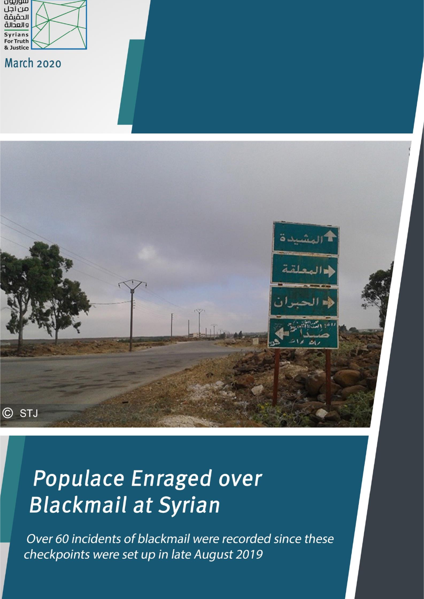

**March 2020** 



# Populace Enraged over **Blackmail at Syrian**

Over 60 incidents of blackmail were recorded since these checkpoints were set up in late August 2019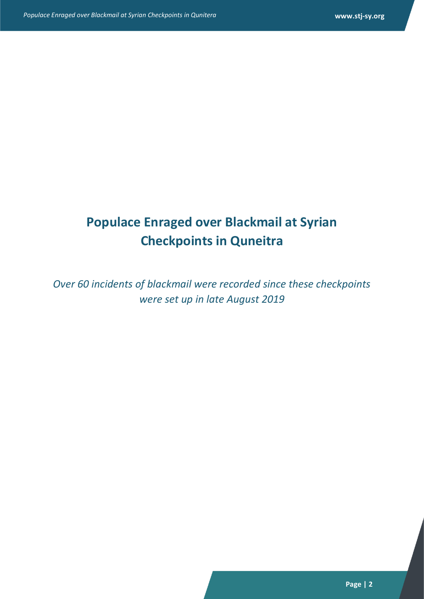## **Populace Enraged over Blackmail at Syrian Checkpoints in Quneitra**

*Over 60 incidents of blackmail were recorded since these checkpoints were set up in late August 2019*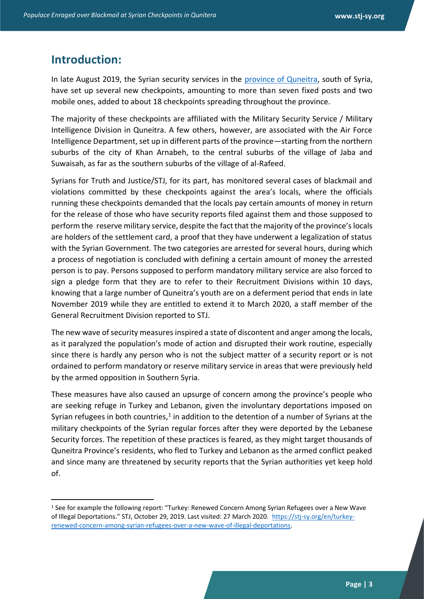#### **Introduction:**

In late August 2019, the Syrian security services in the [province of Quneitra,](Populace%20Enraged%20over%20Blackmail%20at%20Syrian%20Checkpoints%20in%20Qunitera.docx) south of Syria, have set up several new checkpoints, amounting to more than seven fixed posts and two mobile ones, added to about 18 checkpoints spreading throughout the province.

The majority of these checkpoints are affiliated with the Military Security Service / Military Intelligence Division in Quneitra. A few others, however, are associated with the Air Force Intelligence Department, set up in different parts of the province—starting from the northern suburbs of the city of Khan Arnabeh, to the central suburbs of the village of Jaba and Suwaisah, as far as the southern suburbs of the village of al-Rafeed.

Syrians for Truth and Justice/STJ, for its part, has monitored several cases of blackmail and violations committed by these checkpoints against the area's locals, where the officials running these checkpoints demanded that the locals pay certain amounts of money in return for the release of those who have security reports filed against them and those supposed to perform the reserve military service, despite the fact that the majority of the province's locals are holders of the settlement card, a proof that they have underwent a legalization of status with the Syrian Government. The two categories are arrested for several hours, during which a process of negotiation is concluded with defining a certain amount of money the arrested person is to pay. Persons supposed to perform mandatory military service are also forced to sign a pledge form that they are to refer to their Recruitment Divisions within 10 days, knowing that a large number of Quneitra's youth are on a deferment period that ends in late November 2019 while they are entitled to extend it to March 2020, a staff member of the General Recruitment Division reported to STJ.

The new wave of security measures inspired a state of discontent and anger among the locals, as it paralyzed the population's mode of action and disrupted their work routine, especially since there is hardly any person who is not the subject matter of a security report or is not ordained to perform mandatory or reserve military service in areas that were previously held by the armed opposition in Southern Syria.

These measures have also caused an upsurge of concern among the province's people who are seeking refuge in Turkey and Lebanon, given the involuntary deportations imposed on Syrian refugees in both countries,<sup>1</sup> in addition to the detention of a number of Syrians at the military checkpoints of the Syrian regular forces after they were deported by the Lebanese Security forces. The repetition of these practices is feared, as they might target thousands of Quneitra Province's residents, who fled to Turkey and Lebanon as the armed conflict peaked and since many are threatened by security reports that the Syrian authorities yet keep hold of.

<sup>1</sup> See for example the following report: "Turkey: Renewed Concern Among Syrian Refugees over a New Wave of Illegal Deportations." STJ, October 29, 2019. Last visited: 27 March 2020. [https://stj-sy.org/en/turkey](https://stj-sy.org/en/turkey-renewed-concern-among-syrian-refugees-over-a-new-wave-of-illegal-deportations)[renewed-concern-among-syrian-refugees-over-a-new-wave-of-illegal-deportations.](https://stj-sy.org/en/turkey-renewed-concern-among-syrian-refugees-over-a-new-wave-of-illegal-deportations)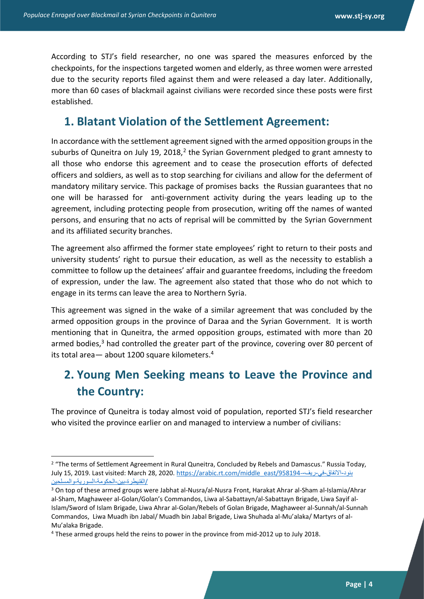According to STJ's field researcher, no one was spared the measures enforced by the checkpoints, for the inspections targeted women and elderly, as three women were arrested due to the security reports filed against them and were released a day later. Additionally, more than 60 cases of blackmail against civilians were recorded since these posts were first established.

#### **1. Blatant Violation of the Settlement Agreement:**

In accordance with the settlement agreement signed with the armed opposition groups in the suburbs of Quneitra on July 19, 2018,<sup>2</sup> the Syrian Government pledged to grant amnesty to all those who endorse this agreement and to cease the prosecution efforts of defected officers and soldiers, as well as to stop searching for civilians and allow for the deferment of mandatory military service. This package of promises backs the Russian guarantees that no one will be harassed for anti-government activity during the years leading up to the agreement, including protecting people from prosecution, writing off the names of wanted persons, and ensuring that no acts of reprisal will be committed by the Syrian Government and its affiliated security branches.

The agreement also affirmed the former state employees' right to return to their posts and university students' right to pursue their education, as well as the necessity to establish a committee to follow up the detainees' affair and guarantee freedoms, including the freedom of expression, under the law. The agreement also stated that those who do not which to engage in its terms can leave the area to Northern Syria.

This agreement was signed in the wake of a similar agreement that was concluded by the armed opposition groups in the province of Daraa and the Syrian Government. It is worth mentioning that in Quneitra, the armed opposition groups, estimated with more than 20 armed bodies, $3$  had controlled the greater part of the province, covering over 80 percent of its total area— about 1200 square kilometers.<sup>4</sup>

## **2. Young Men Seeking means to Leave the Province and the Country:**

The province of Quneitra is today almost void of population, reported STJ's field researcher who visited the province earlier on and managed to interview a number of civilians:

<sup>&</sup>lt;sup>2</sup> "The terms of Settlement Agreement in Rural Quneitra, Concluded by Rebels and Damascus." Russia Today, July 15, 2019. Last visited: March 28, 2020. [https://arabic.rt.com/middle\\_east/958194-](https://arabic.rt.com/middle_east/958194-%D8%A8%D9%86%D9%88%D8%AF-%D8%A7%D9%84%D8%A7%D8%AA%D9%81%D8%A7%D9%82-%D9%81%D9%8A-%D8%B1%D9%8A%D9%81-%D8%A7%D9%84%D9%82%D9%86%D9%8A%D8%B7%D8%B1%D8%A9-%D8%A8%D9%8A%D9%86-%D8%A7%D9%84%D8%AD%D9%83%D9%88%D9%85%D8%A9-%D8%A7%D9%84%D8%B3%D9%88%D8%B1%D9%8A%D8%A9-%D9%88%D8%A7%D9%84%D9%85%D8%B3%D9%84%D8%AD%D9%8A%D9%86/amp/) -ريف-في-االتفاق-بنود /[القنيطرة-بين-الحكومة-السورية-والمسلحين](https://arabic.rt.com/middle_east/958194-%D8%A8%D9%86%D9%88%D8%AF-%D8%A7%D9%84%D8%A7%D8%AA%D9%81%D8%A7%D9%82-%D9%81%D9%8A-%D8%B1%D9%8A%D9%81-%D8%A7%D9%84%D9%82%D9%86%D9%8A%D8%B7%D8%B1%D8%A9-%D8%A8%D9%8A%D9%86-%D8%A7%D9%84%D8%AD%D9%83%D9%88%D9%85%D8%A9-%D8%A7%D9%84%D8%B3%D9%88%D8%B1%D9%8A%D8%A9-%D9%88%D8%A7%D9%84%D9%85%D8%B3%D9%84%D8%AD%D9%8A%D9%86/amp/)

<sup>3</sup> On top of these armed groups were Jabhat al-Nusra/al-Nusra Front, Harakat Ahrar al-Sham al-Islamia/Ahrar al-Sham, Maghaweer al-Golan/Golan's Commandos, Liwa al-Sabattayn/al-Sabattayn Brigade, Liwa Sayif al-Islam/Sword of Islam Brigade, Liwa Ahrar al-Golan/Rebels of Golan Brigade, Maghaweer al-Sunnah/al-Sunnah Commandos, Liwa Muadh ibn Jabal/ Muadh bin Jabal Brigade, Liwa Shuhada al-Mu'alaka/ Martyrs of al-Mu'alaka Brigade.

<sup>4</sup> These armed groups held the reins to power in the province from mid-2012 up to July 2018.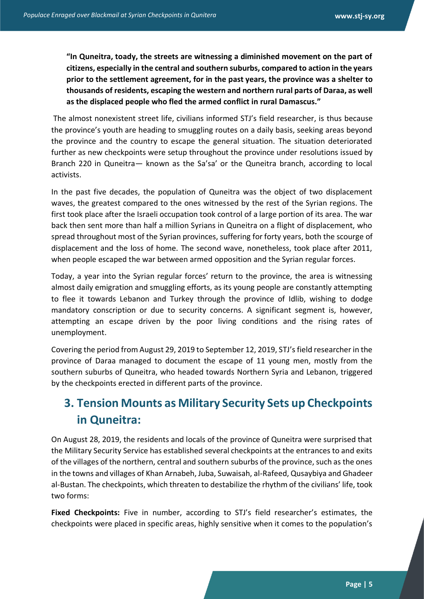**"In Quneitra, toady, the streets are witnessing a diminished movement on the part of citizens, especially in the central and southern suburbs, compared to action in the years prior to the settlement agreement, for in the past years, the province was a shelter to thousands of residents, escaping the western and northern rural parts of Daraa, as well as the displaced people who fled the armed conflict in rural Damascus."** 

The almost nonexistent street life, civilians informed STJ's field researcher, is thus because the province's youth are heading to smuggling routes on a daily basis, seeking areas beyond the province and the country to escape the general situation. The situation deteriorated further as new checkpoints were setup throughout the province under resolutions issued by Branch 220 in Quneitra— known as the Sa'sa' or the Quneitra branch, according to local activists.

In the past five decades, the population of Quneitra was the object of two displacement waves, the greatest compared to the ones witnessed by the rest of the Syrian regions. The first took place after the Israeli occupation took control of a large portion of its area. The war back then sent more than half a million Syrians in Quneitra on a flight of displacement, who spread throughout most of the Syrian provinces, suffering for forty years, both the scourge of displacement and the loss of home. The second wave, nonetheless, took place after 2011, when people escaped the war between armed opposition and the Syrian regular forces.

Today, a year into the Syrian regular forces' return to the province, the area is witnessing almost daily emigration and smuggling efforts, as its young people are constantly attempting to flee it towards Lebanon and Turkey through the province of Idlib, wishing to dodge mandatory conscription or due to security concerns. A significant segment is, however, attempting an escape driven by the poor living conditions and the rising rates of unemployment.

Covering the period from August 29, 2019 to September 12, 2019, STJ's field researcher in the province of Daraa managed to document the escape of 11 young men, mostly from the southern suburbs of Quneitra, who headed towards Northern Syria and Lebanon, triggered by the checkpoints erected in different parts of the province.

## **3. Tension Mounts as Military Security Sets up Checkpoints in Quneitra:**

On August 28, 2019, the residents and locals of the province of Quneitra were surprised that the Military Security Service has established several checkpoints at the entrances to and exits of the villages of the northern, central and southern suburbs of the province, such as the ones in the towns and villages of Khan Arnabeh, Juba, Suwaisah, al-Rafeed, Qusaybiya and Ghadeer al-Bustan. The checkpoints, which threaten to destabilize the rhythm of the civilians' life, took two forms:

**Fixed Checkpoints:** Five in number, according to STJ's field researcher's estimates, the checkpoints were placed in specific areas, highly sensitive when it comes to the population's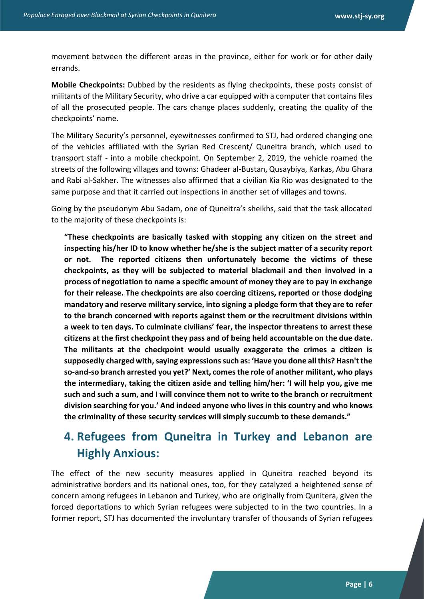movement between the different areas in the province, either for work or for other daily errands.

**Mobile Checkpoints:** Dubbed by the residents as flying checkpoints, these posts consist of militants of the Military Security, who drive a car equipped with a computer that contains files of all the prosecuted people. The cars change places suddenly, creating the quality of the checkpoints' name.

The Military Security's personnel, eyewitnesses confirmed to STJ, had ordered changing one of the vehicles affiliated with the Syrian Red Crescent/ Quneitra branch, which used to transport staff - into a mobile checkpoint. On September 2, 2019, the vehicle roamed the streets of the following villages and towns: Ghadeer al-Bustan, Qusaybiya, Karkas, Abu Ghara and Rabi al-Sakher. The witnesses also affirmed that a civilian Kia Rio was designated to the same purpose and that it carried out inspections in another set of villages and towns.

Going by the pseudonym Abu Sadam, one of Quneitra's sheikhs, said that the task allocated to the majority of these checkpoints is:

**"These checkpoints are basically tasked with stopping any citizen on the street and inspecting his/her ID to know whether he/she is the subject matter of a security report or not. The reported citizens then unfortunately become the victims of these checkpoints, as they will be subjected to material blackmail and then involved in a process of negotiation to name a specific amount of money they are to pay in exchange for their release. The checkpoints are also coercing citizens, reported or those dodging mandatory and reserve military service, into signing a pledge form that they are to refer to the branch concerned with reports against them or the recruitment divisions within a week to ten days. To culminate civilians' fear, the inspector threatens to arrest these citizens at the first checkpoint they pass and of being held accountable on the due date. The militants at the checkpoint would usually exaggerate the crimes a citizen is supposedly charged with, saying expressions such as: 'Have you done all this? Hasn't the so-and-so branch arrested you yet?' Next, comes the role of another militant, who plays the intermediary, taking the citizen aside and telling him/her: 'I will help you, give me such and such a sum, and I will convince them not to write to the branch or recruitment division searching for you.' And indeed anyone who lives in this country and who knows the criminality of these security services will simply succumb to these demands."**

### **4. Refugees from Quneitra in Turkey and Lebanon are Highly Anxious:**

The effect of the new security measures applied in Quneitra reached beyond its administrative borders and its national ones, too, for they catalyzed a heightened sense of concern among refugees in Lebanon and Turkey, who are originally from Qunitera, given the forced deportations to which Syrian refugees were subjected to in the two countries. In a former report, STJ has documented the involuntary transfer of thousands of Syrian refugees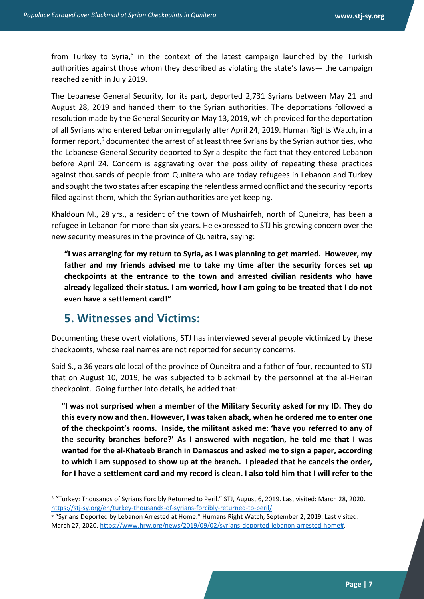from Turkey to Syria,<sup>5</sup> in the context of the latest campaign launched by the Turkish authorities against those whom they described as violating the state's laws— the campaign reached zenith in July 2019.

The Lebanese General Security, for its part, deported 2,731 Syrians between May 21 and August 28, 2019 and handed them to the Syrian authorities. The deportations followed a resolution made by the General Security on May 13, 2019, which provided for the deportation of all Syrians who entered Lebanon irregularly after April 24, 2019. Human Rights Watch, in a former report,<sup>6</sup> documented the arrest of at least three Syrians by the Syrian authorities, who the Lebanese General Security deported to Syria despite the fact that they entered Lebanon before April 24. Concern is aggravating over the possibility of repeating these practices against thousands of people from Qunitera who are today refugees in Lebanon and Turkey and sought the two states after escaping the relentless armed conflict and the security reports filed against them, which the Syrian authorities are yet keeping.

Khaldoun M., 28 yrs., a resident of the town of Mushairfeh, north of Quneitra, has been a refugee in Lebanon for more than six years. He expressed to STJ his growing concern over the new security measures in the province of Quneitra, saying:

**"I was arranging for my return to Syria, as I was planning to get married. However, my father and my friends advised me to take my time after the security forces set up checkpoints at the entrance to the town and arrested civilian residents who have already legalized their status. I am worried, how I am going to be treated that I do not even have a settlement card!"**

#### **5. Witnesses and Victims:**

Documenting these overt violations, STJ has interviewed several people victimized by these checkpoints, whose real names are not reported for security concerns.

Said S., a 36 years old local of the province of Quneitra and a father of four, recounted to STJ that on August 10, 2019, he was subjected to blackmail by the personnel at the al-Heiran checkpoint. Going further into details, he added that:

**"I was not surprised when a member of the Military Security asked for my ID. They do this every now and then. However, I was taken aback, when he ordered me to enter one of the checkpoint's rooms. Inside, the militant asked me: 'have you referred to any of the security branches before?' As I answered with negation, he told me that I was wanted for the al-Khateeb Branch in Damascus and asked me to sign a paper, according to which I am supposed to show up at the branch. I pleaded that he cancels the order, for I have a settlement card and my record is clean. I also told him that I will refer to the** 

<sup>5</sup> "Turkey: Thousands of Syrians Forcibly Returned to Peril." STJ, August 6, 2019. Last visited: March 28, 2020. [https://stj-sy.org/en/turkey-thousands-of-syrians-forcibly-returned-to-peril/.](https://stj-sy.org/en/turkey-thousands-of-syrians-forcibly-returned-to-peril/)

<sup>6</sup> "Syrians Deported by Lebanon Arrested at Home." Humans Right Watch, September 2, 2019. Last visited: March 27, 2020[. https://www.hrw.org/news/2019/09/02/syrians-deported-lebanon-arrested-home#.](https://www.hrw.org/news/2019/09/02/syrians-deported-lebanon-arrested-home)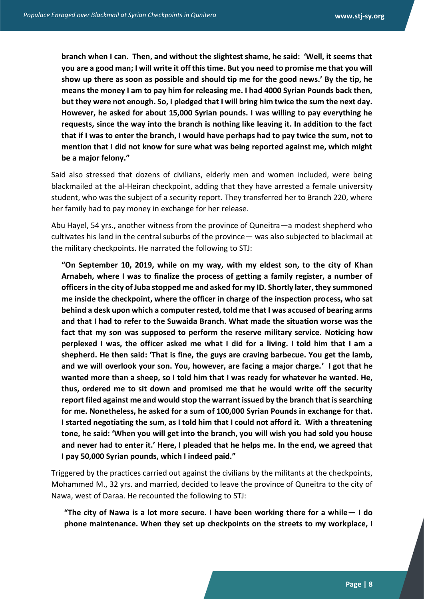**branch when I can. Then, and without the slightest shame, he said: 'Well, it seems that you are a good man; I will write it off this time. But you need to promise me that you will show up there as soon as possible and should tip me for the good news.' By the tip, he means the money I am to pay him for releasing me. I had 4000 Syrian Pounds back then, but they were not enough. So, I pledged that I will bring him twice the sum the next day. However, he asked for about 15,000 Syrian pounds. I was willing to pay everything he requests, since the way into the branch is nothing like leaving it. In addition to the fact that if I was to enter the branch, I would have perhaps had to pay twice the sum, not to mention that I did not know for sure what was being reported against me, which might be a major felony."**

Said also stressed that dozens of civilians, elderly men and women included, were being blackmailed at the al-Heiran checkpoint, adding that they have arrested a female university student, who was the subject of a security report. They transferred her to Branch 220, where her family had to pay money in exchange for her release.

Abu Hayel, 54 yrs., another witness from the province of Quneitra—a modest shepherd who cultivates his land in the central suburbs of the province— was also subjected to blackmail at the military checkpoints. He narrated the following to STJ:

**"On September 10, 2019, while on my way, with my eldest son, to the city of Khan Arnabeh, where I was to finalize the process of getting a family register, a number of officers in the city of Juba stopped me and asked for my ID. Shortly later, they summoned me inside the checkpoint, where the officer in charge of the inspection process, who sat behind a desk upon which a computer rested, told me that I was accused of bearing arms and that I had to refer to the Suwaida Branch. What made the situation worse was the fact that my son was supposed to perform the reserve military service. Noticing how perplexed I was, the officer asked me what I did for a living. I told him that I am a shepherd. He then said: 'That is fine, the guys are craving barbecue. You get the lamb, and we will overlook your son. You, however, are facing a major charge.' I got that he wanted more than a sheep, so I told him that I was ready for whatever he wanted. He, thus, ordered me to sit down and promised me that he would write off the security report filed against me and would stop the warrant issued by the branch that is searching for me. Nonetheless, he asked for a sum of 100,000 Syrian Pounds in exchange for that. I started negotiating the sum, as I told him that I could not afford it. With a threatening tone, he said: 'When you will get into the branch, you will wish you had sold you house and never had to enter it.' Here, I pleaded that he helps me. In the end, we agreed that I pay 50,000 Syrian pounds, which I indeed paid."**

Triggered by the practices carried out against the civilians by the militants at the checkpoints, Mohammed M., 32 yrs. and married, decided to leave the province of Quneitra to the city of Nawa, west of Daraa. He recounted the following to STJ:

**"The city of Nawa is a lot more secure. I have been working there for a while— I do phone maintenance. When they set up checkpoints on the streets to my workplace, I**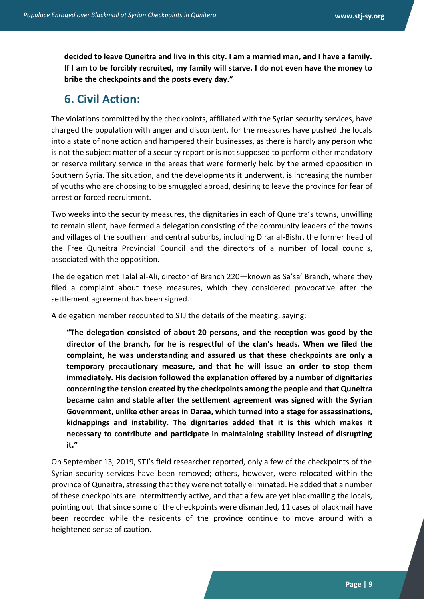**decided to leave Quneitra and live in this city. I am a married man, and I have a family. If I am to be forcibly recruited, my family will starve. I do not even have the money to bribe the checkpoints and the posts every day."**

#### **6. Civil Action:**

The violations committed by the checkpoints, affiliated with the Syrian security services, have charged the population with anger and discontent, for the measures have pushed the locals into a state of none action and hampered their businesses, as there is hardly any person who is not the subject matter of a security report or is not supposed to perform either mandatory or reserve military service in the areas that were formerly held by the armed opposition in Southern Syria. The situation, and the developments it underwent, is increasing the number of youths who are choosing to be smuggled abroad, desiring to leave the province for fear of arrest or forced recruitment.

Two weeks into the security measures, the dignitaries in each of Quneitra's towns, unwilling to remain silent, have formed a delegation consisting of the community leaders of the towns and villages of the southern and central suburbs, including Dirar al-Bishr, the former head of the Free Quneitra Provincial Council and the directors of a number of local councils, associated with the opposition.

The delegation met Talal al-Ali, director of Branch 220—known as Sa'sa' Branch, where they filed a complaint about these measures, which they considered provocative after the settlement agreement has been signed.

A delegation member recounted to STJ the details of the meeting, saying:

**"The delegation consisted of about 20 persons, and the reception was good by the director of the branch, for he is respectful of the clan's heads. When we filed the complaint, he was understanding and assured us that these checkpoints are only a temporary precautionary measure, and that he will issue an order to stop them immediately. His decision followed the explanation offered by a number of dignitaries concerning the tension created by the checkpoints among the people and that Quneitra became calm and stable after the settlement agreement was signed with the Syrian Government, unlike other areas in Daraa, which turned into a stage for assassinations, kidnappings and instability. The dignitaries added that it is this which makes it necessary to contribute and participate in maintaining stability instead of disrupting it."**

On September 13, 2019, STJ's field researcher reported, only a few of the checkpoints of the Syrian security services have been removed; others, however, were relocated within the province of Quneitra, stressing that they were not totally eliminated. He added that a number of these checkpoints are intermittently active, and that a few are yet blackmailing the locals, pointing out that since some of the checkpoints were dismantled, 11 cases of blackmail have been recorded while the residents of the province continue to move around with a heightened sense of caution.